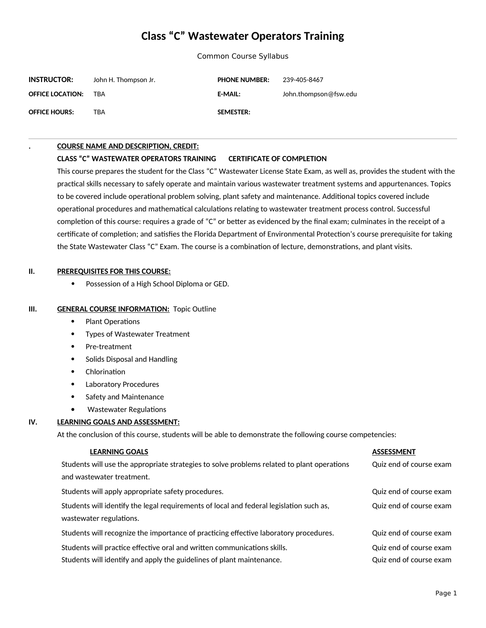# **Class "C" Wastewater Operators Training**

Common Course Syllabus

| <b>INSTRUCTOR:</b>      | John H. Thompson Jr. | <b>PHONE NUMBER:</b> | 239-405-8467          |
|-------------------------|----------------------|----------------------|-----------------------|
| <b>OFFICE LOCATION:</b> | TRA                  | <b>E-MAIL:</b>       | John.thompson@fsw.edu |
| <b>OFFICE HOURS:</b>    | TBA                  | <b>SEMESTER:</b>     |                       |

#### **. COURSE NAME AND DESCRIPTION, CREDIT:**

#### **CLASS "C" WASTEWATER OPERATORS TRAINING CERTIFICATE OF COMPLETION**

This course prepares the student for the Class "C" Wastewater License State Exam, as well as, provides the student with the practical skills necessary to safely operate and maintain various wastewater treatment systems and appurtenances. Topics to be covered include operational problem solving, plant safety and maintenance. Additional topics covered include operational procedures and mathematical calculations relating to wastewater treatment process control. Successful completion of this course: requires a grade of "C" or better as evidenced by the final exam; culminates in the receipt of a certificate of completion; and satisfies the Florida Department of Environmental Protection's course prerequisite for taking the State Wastewater Class "C" Exam. The course is a combination of lecture, demonstrations, and plant visits.

#### **II. PREREQUISITES FOR THIS COURSE:**

• Possession of a High School Diploma or GED.

#### **III. GENERAL COURSE INFORMATION: Topic Outline**

- Plant Operations
- Types of Wastewater Treatment
- Pre-treatment
- Solids Disposal and Handling
- Chlorination
- Laboratory Procedures
- Safety and Maintenance
- Wastewater Regulations

## **IV. LEARNING GOALS AND ASSESSMENT:**

At the conclusion of this course, students will be able to demonstrate the following course competencies:

| <b>LEARNING GOALS</b>                                                                      | <b>ASSESSMENT</b>       |
|--------------------------------------------------------------------------------------------|-------------------------|
| Students will use the appropriate strategies to solve problems related to plant operations | Quiz end of course exam |
| and wastewater treatment.                                                                  |                         |
| Students will apply appropriate safety procedures.                                         | Quiz end of course exam |
| Students will identify the legal requirements of local and federal legislation such as,    | Quiz end of course exam |
| wastewater regulations.                                                                    |                         |
| Students will recognize the importance of practicing effective laboratory procedures.      | Quiz end of course exam |
| Students will practice effective oral and written communications skills.                   | Quiz end of course exam |
| Students will identify and apply the guidelines of plant maintenance.                      | Quiz end of course exam |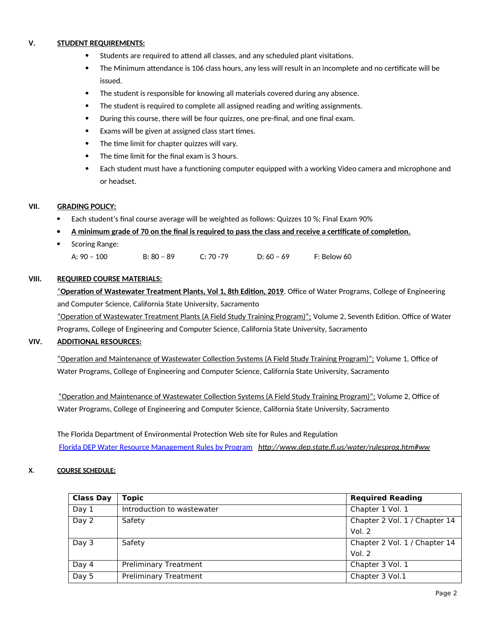## **V. STUDENT REQUIREMENTS:**

- Students are required to attend all classes, and any scheduled plant visitations.
- The Minimum attendance is 106 class hours, any less will result in an incomplete and no certificate will be issued.
- The student is responsible for knowing all materials covered during any absence.
- The student is required to complete all assigned reading and writing assignments.
- During this course, there will be four quizzes, one pre-final, and one final exam.
- Exams will be given at assigned class start times.
- The time limit for chapter quizzes will vary.
- The time limit for the final exam is 3 hours.
- Each student must have a functioning computer equipped with a working Video camera and microphone and or headset.

## **VII. GRADING POLICY:**

- Each student's final course average will be weighted as follows: Quizzes 10 %; Final Exam 90%
- **A minimum grade of 70 on the final is required to pass the class and receive a certificate of completion.**
- Scoring Range:
	- A: 90 100 B: 80 89 C: 70 -79 D: 60 69 F: Below 60

## **VIII. REQUIRED COURSE MATERIALS:**

" **Operation of Wastewater Treatment Plants, Vol 1, 8th Edition, 2019**. Office of Water Programs, College of Engineering and Computer Science, California State University, Sacramento

"Operation of Wastewater Treatment Plants (A Field Study Training Program)"; Volume 2, Seventh Edition. Office of Water Programs, College of Engineering and Computer Science, California State University, Sacramento

## **VIV. ADDITIONAL RESOURCES:**

"Operation and Maintenance of Wastewater Collection Systems (A Field Study Training Program)"; Volume 1, Office of Water Programs, College of Engineering and Computer Science, California State University, Sacramento

"Operation and Maintenance of Wastewater Collection Systems (A Field Study Training Program)"; Volume 2, Office of Water Programs, College of Engineering and Computer Science, California State University, Sacramento

The Florida Department of Environmental Protection Web site for Rules and Regulation [Florida DEP Water Resource Management Rules by Program](./Florida%20DEP%20Water%20Resource%20Management%20Rules%20by%20Program) *http://www.dep.state.fl.us/water/rulesprog.htm#ww*

## **X. COURSE SCHEDULE:**

| <b>Class Day</b> | <b>Topic</b>                 | <b>Required Reading</b>       |
|------------------|------------------------------|-------------------------------|
| Day 1            | Introduction to wastewater   | Chapter 1 Vol. 1              |
| Day 2            | Safety                       | Chapter 2 Vol. 1 / Chapter 14 |
|                  |                              | Vol. $2$                      |
| Day 3            | Safety                       | Chapter 2 Vol. 1 / Chapter 14 |
|                  |                              | Vol. $2$                      |
| Day 4            | <b>Preliminary Treatment</b> | Chapter 3 Vol. 1              |
| Day 5            | <b>Preliminary Treatment</b> | Chapter 3 Vol.1               |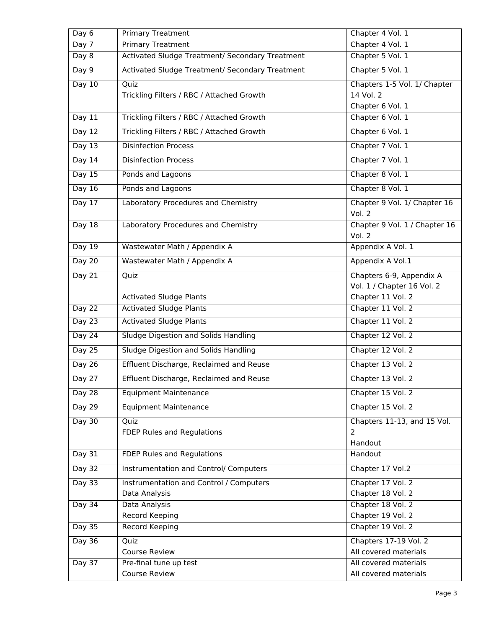| Day 6         | <b>Primary Treatment</b>                        | Chapter 4 Vol. 1                        |
|---------------|-------------------------------------------------|-----------------------------------------|
| Day $7$       | <b>Primary Treatment</b>                        | Chapter 4 Vol. 1                        |
| Day 8         | Activated Sludge Treatment/ Secondary Treatment | Chapter 5 Vol. 1                        |
| Day 9         | Activated Sludge Treatment/ Secondary Treatment | Chapter 5 Vol. 1                        |
| Day $10$      | Quiz                                            | Chapters 1-5 Vol. 1/ Chapter            |
|               | Trickling Filters / RBC / Attached Growth       | 14 Vol. 2                               |
|               |                                                 | Chapter 6 Vol. 1                        |
| Day $11$      | Trickling Filters / RBC / Attached Growth       | Chapter 6 Vol. 1                        |
| Day $12$      | Trickling Filters / RBC / Attached Growth       | Chapter 6 Vol. 1                        |
| Day $13$      | <b>Disinfection Process</b>                     | Chapter 7 Vol. 1                        |
| Day $14$      | <b>Disinfection Process</b>                     | Chapter 7 Vol. 1                        |
| Day $15$      | Ponds and Lagoons                               | Chapter 8 Vol. 1                        |
| Day $16$      | Ponds and Lagoons                               | Chapter 8 Vol. 1                        |
| Day $17$      | Laboratory Procedures and Chemistry             | Chapter 9 Vol. 1/ Chapter 16<br>Vol. 2  |
| Day $18$      | Laboratory Procedures and Chemistry             | Chapter 9 Vol. 1 / Chapter 16<br>Vol. 2 |
| Day 19        | Wastewater Math / Appendix A                    | Appendix A Vol. 1                       |
| Day $20$      | Wastewater Math / Appendix A                    | Appendix A Vol.1                        |
| Day 21        | Quiz                                            | Chapters 6-9, Appendix A                |
|               |                                                 | Vol. 1 / Chapter 16 Vol. 2              |
|               | <b>Activated Sludge Plants</b>                  | Chapter 11 Vol. 2                       |
| Day $22$      | <b>Activated Sludge Plants</b>                  | Chapter 11 Vol. 2                       |
| <b>Day 23</b> | <b>Activated Sludge Plants</b>                  | Chapter 11 Vol. 2                       |
| <b>Day 24</b> | Sludge Digestion and Solids Handling            | Chapter 12 Vol. 2                       |
| Day 25        | Sludge Digestion and Solids Handling            | Chapter 12 Vol. 2                       |
| Day $26$      | Effluent Discharge, Reclaimed and Reuse         | Chapter 13 Vol. 2                       |
| Day $27$      | Effluent Discharge, Reclaimed and Reuse         | Chapter 13 Vol. 2                       |
| <b>Day 28</b> | <b>Equipment Maintenance</b>                    | Chapter 15 Vol. 2                       |
| <b>Day 29</b> | <b>Equipment Maintenance</b>                    | Chapter 15 Vol. 2                       |
| Day $30$      | Quiz                                            | Chapters 11-13, and 15 Vol.             |
|               | FDEP Rules and Regulations                      | 2                                       |
|               |                                                 | Handout                                 |
| Day 31        | <b>FDEP Rules and Regulations</b>               | Handout                                 |
| Day $32$      | <b>Instrumentation and Control/ Computers</b>   | Chapter 17 Vol.2                        |
| Day 33        | Instrumentation and Control / Computers         | Chapter 17 Vol. 2                       |
|               | Data Analysis                                   | Chapter 18 Vol. 2                       |
| Day $34$      | Data Analysis                                   | Chapter 18 Vol. 2                       |
|               | Record Keeping                                  | Chapter 19 Vol. 2                       |
| <b>Day 35</b> | <b>Record Keeping</b>                           | Chapter 19 Vol. 2                       |
| <b>Day 36</b> | Quiz                                            | Chapters 17-19 Vol. 2                   |
|               | Course Review                                   | All covered materials                   |
| Day $37$      | Pre-final tune up test                          | All covered materials                   |
|               | <b>Course Review</b>                            | All covered materials                   |